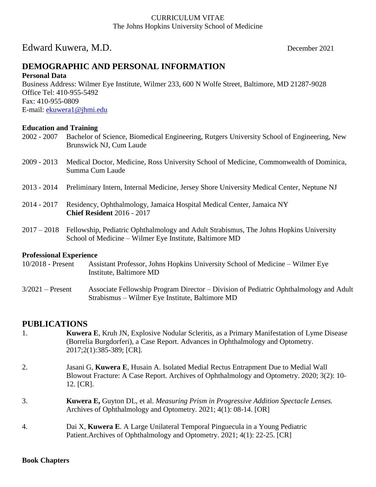#### CURRICULUM VITAE The Johns Hopkins University School of Medicine

# Edward Kuwera, M.D. December 2021

# **DEMOGRAPHIC AND PERSONAL INFORMATION**

#### **Personal Data**

Business Address: Wilmer Eye Institute, Wilmer 233, 600 N Wolfe Street, Baltimore, MD 21287-9028 Office Tel: 410-955-5492 Fax: 410-955-0809 E-mail: [ekuwera1@jhmi.edu](mailto:ekuwera1@jhmi.edu)

# **Education and Training**<br>2002 - 2007 **Bachelor of**

- Bachelor of Science, Biomedical Engineering, Rutgers University School of Engineering, New Brunswick NJ, Cum Laude
- 2009 2013 Medical Doctor, Medicine, Ross University School of Medicine, Commonwealth of Dominica, Summa Cum Laude
- 2013 2014 Preliminary Intern, Internal Medicine, Jersey Shore University Medical Center, Neptune NJ
- 2014 2017 Residency, Ophthalmology, Jamaica Hospital Medical Center, Jamaica NY **Chief Resident** 2016 - 2017
- 2017 2018 Fellowship, Pediatric Ophthalmology and Adult Strabismus, The Johns Hopkins University School of Medicine – Wilmer Eye Institute, Baltimore MD

#### **Professional Experience**

- 10/2018 Present Assistant Professor, Johns Hopkins University School of Medicine Wilmer Eye Institute, Baltimore MD
- 3/2021 Present Associate Fellowship Program Director Division of Pediatric Ophthalmology and Adult Strabismus – Wilmer Eye Institute, Baltimore MD

#### **PUBLICATIONS**

- 1. **Kuwera E**, Kruh JN, Explosive Nodular Scleritis, as a Primary Manifestation of Lyme Disease (Borrelia Burgdorferi), a Case Report. Advances in Ophthalmology and Optometry. 2017;2(1):385-389; [CR].
- 2. Jasani G, **Kuwera E**, Husain A. Isolated Medial Rectus Entrapment Due to Medial Wall Blowout Fracture: A Case Report. Archives of Ophthalmology and Optometry. 2020; 3(2): 10- 12. [CR].
- 3. **Kuwera E,** Guyton DL, et al. *Measuring Prism in Progressive Addition Spectacle Lenses.*  Archives of Ophthalmology and Optometry. 2021; 4(1): 08-14. [OR]
- 4. Dai X, **Kuwera E**. A Large Unilateral Temporal Pinguecula in a Young Pediatric Patient.Archives of Ophthalmology and Optometry. 2021; 4(1): 22-25. [CR]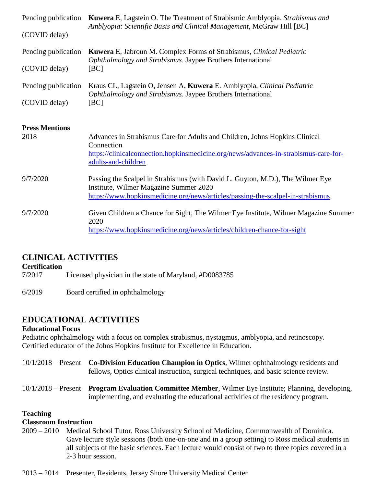| (COVID delay)                 | Pending publication <b>Kuwera</b> E, Lagstein O. The Treatment of Strabismic Amblyopia. <i>Strabismus and</i><br>Amblyopia: Scientific Basis and Clinical Management, McGraw Hill [BC]                      |
|-------------------------------|-------------------------------------------------------------------------------------------------------------------------------------------------------------------------------------------------------------|
| Pending publication           | <b>Kuwera</b> E, Jabroun M. Complex Forms of Strabismus, <i>Clinical Pediatric</i>                                                                                                                          |
| (COVID delay)                 | Ophthalmology and Strabismus. Jaypee Brothers International<br>[BC]                                                                                                                                         |
| Pending publication           | Kraus CL, Lagstein O, Jensen A, Kuwera E. Amblyopia, Clinical Pediatric                                                                                                                                     |
| (COVID delay)                 | Ophthalmology and Strabismus. Jaypee Brothers International<br>[BC]                                                                                                                                         |
| <b>Press Mentions</b><br>2018 | Advances in Strabismus Care for Adults and Children, Johns Hopkins Clinical<br>Connection<br>https://clinicalconnection.hopkinsmedicine.org/news/advances-in-strabismus-care-for-<br>adults-and-children    |
| 9/7/2020                      | Passing the Scalpel in Strabismus (with David L. Guyton, M.D.), The Wilmer Eye<br>Institute, Wilmer Magazine Summer 2020<br>https://www.hopkinsmedicine.org/news/articles/passing-the-scalpel-in-strabismus |
| 9/7/2020                      | Given Children a Chance for Sight, The Wilmer Eye Institute, Wilmer Magazine Summer<br>2020<br>https://www.hopkinsmedicine.org/news/articles/children-chance-for-sight                                      |

#### **CLINICAL ACTIVITIES**

**Certification**

7/2017 Licensed physician in the state of Maryland, #D0083785

6/2019 Board certified in ophthalmology

## **EDUCATIONAL ACTIVITIES**

#### **Educational Focus**

Pediatric ophthalmology with a focus on complex strabismus, nystagmus, amblyopia, and retinoscopy. Certified educator of the Johns Hopkins Institute for Excellence in Education.

- 10/1/2018 Present **Co-Division Education Champion in Optics**, Wilmer ophthalmology residents and fellows, Optics clinical instruction, surgical techniques, and basic science review.
- 10/1/2018 Present **Program Evaluation Committee Member**, Wilmer Eye Institute; Planning, developing, implementing, and evaluating the educational activities of the residency program.

#### **Teaching**

#### **Classroom Instruction**

2009 – 2010 Medical School Tutor, Ross University School of Medicine, Commonwealth of Dominica. Gave lecture style sessions (both one-on-one and in a group setting) to Ross medical students in all subjects of the basic sciences. Each lecture would consist of two to three topics covered in a 2-3 hour session.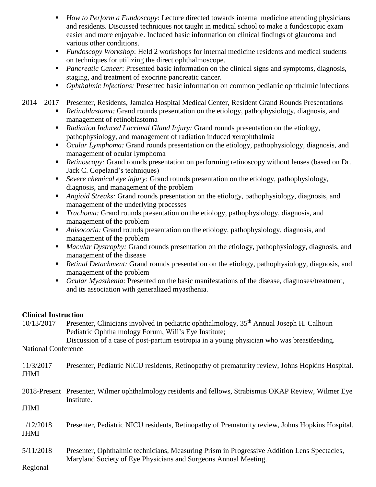- *How to Perform a Fundoscopy*: Lecture directed towards internal medicine attending physicians and residents. Discussed techniques not taught in medical school to make a fundoscopic exam easier and more enjoyable. Included basic information on clinical findings of glaucoma and various other conditions.
- *Fundoscopy Workshop*: Held 2 workshops for internal medicine residents and medical students on techniques for utilizing the direct ophthalmoscope.
- *Pancreatic Cancer*: Presented basic information on the clinical signs and symptoms, diagnosis, staging, and treatment of exocrine pancreatic cancer.
- *Ophthalmic Infections:* Presented basic information on common pediatric ophthalmic infections

#### 2014 – 2017 Presenter, Residents, Jamaica Hospital Medical Center, Resident Grand Rounds Presentations

- *Retinoblastoma:* Grand rounds presentation on the etiology, pathophysiology, diagnosis, and management of retinoblastoma
- *Radiation Induced Lacrimal Gland Injury:* Grand rounds presentation on the etiology, pathophysiology, and management of radiation induced xerophthalmia
- **•** *Ocular Lymphoma:* Grand rounds presentation on the etiology, pathophysiology, diagnosis, and management of ocular lymphoma
- *Retinoscopy:* Grand rounds presentation on performing retinoscopy without lenses (based on Dr. Jack C. Copeland's techniques)
- *Severe chemical eye injury:* Grand rounds presentation on the etiology, pathophysiology, diagnosis, and management of the problem
- *Angioid Streaks:* Grand rounds presentation on the etiology, pathophysiology, diagnosis, and management of the underlying processes
- *Trachoma:* Grand rounds presentation on the etiology, pathophysiology, diagnosis, and management of the problem
- *Anisocoria:* Grand rounds presentation on the etiology, pathophysiology, diagnosis, and management of the problem
- *Macular Dystrophy:* Grand rounds presentation on the etiology, pathophysiology, diagnosis, and management of the disease
- *Retinal Detachment:* Grand rounds presentation on the etiology, pathophysiology, diagnosis, and management of the problem
- *Ocular Myasthenia*: Presented on the basic manifestations of the disease, diagnoses/treatment, and its association with generalized myasthenia.

#### **Clinical Instruction**

10/13/2017 Presenter, Clinicians involved in pediatric ophthalmology, 35th Annual Joseph H. Calhoun Pediatric Ophthalmology Forum, Will's Eye Institute; Discussion of a case of post-partum esotropia in a young physician who was breastfeeding.

National Conference

| 11/3/2017   | Presenter, Pediatric NICU residents, Retinopathy of prematurity review, Johns Hopkins Hospital. |
|-------------|-------------------------------------------------------------------------------------------------|
| <b>JHMI</b> |                                                                                                 |

2018-Present Presenter, Wilmer ophthalmology residents and fellows, Strabismus OKAP Review, Wilmer Eye Institute.

JHMI

1/12/2018 Presenter, Pediatric NICU residents, Retinopathy of Prematurity review, Johns Hopkins Hospital. JHMI

5/11/2018 Presenter, Ophthalmic technicians, Measuring Prism in Progressive Addition Lens Spectacles, Maryland Society of Eye Physicians and Surgeons Annual Meeting.

Regional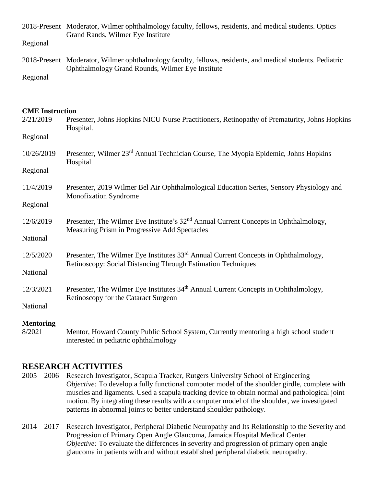2018-Present Moderator, Wilmer ophthalmology faculty, fellows, residents, and medical students. Optics Grand Rands, Wilmer Eye Institute

Regional

2018-Present Moderator, Wilmer ophthalmology faculty, fellows, residents, and medical students. Pediatric Ophthalmology Grand Rounds, Wilmer Eye Institute

Regional

#### **CME Instruction**

| 2/21/2019                  | Presenter, Johns Hopkins NICU Nurse Practitioners, Retinopathy of Prematurity, Johns Hopkins<br>Hospital.                                                       |
|----------------------------|-----------------------------------------------------------------------------------------------------------------------------------------------------------------|
| Regional                   |                                                                                                                                                                 |
| 10/26/2019                 | Presenter, Wilmer 23 <sup>rd</sup> Annual Technician Course, The Myopia Epidemic, Johns Hopkins<br>Hospital                                                     |
| Regional                   |                                                                                                                                                                 |
| 11/4/2019                  | Presenter, 2019 Wilmer Bel Air Ophthalmological Education Series, Sensory Physiology and<br><b>Monofixation Syndrome</b>                                        |
| Regional                   |                                                                                                                                                                 |
| 12/6/2019                  | Presenter, The Wilmer Eye Institute's 32 <sup>nd</sup> Annual Current Concepts in Ophthalmology,<br>Measuring Prism in Progressive Add Spectacles               |
| National                   |                                                                                                                                                                 |
| 12/5/2020                  | Presenter, The Wilmer Eye Institutes 33 <sup>rd</sup> Annual Current Concepts in Ophthalmology,<br>Retinoscopy: Social Distancing Through Estimation Techniques |
| National                   |                                                                                                                                                                 |
| 12/3/2021                  | Presenter, The Wilmer Eye Institutes 34 <sup>th</sup> Annual Current Concepts in Ophthalmology,<br>Retinoscopy for the Cataract Surgeon                         |
| National                   |                                                                                                                                                                 |
| <b>Mentoring</b><br>8/2021 | Mentor, Howard County Public School System, Currently mentoring a high school student<br>interested in pediatric ophthalmology                                  |

## **RESEARCH ACTIVITIES**

- 2005 2006 Research Investigator, Scapula Tracker, Rutgers University School of Engineering *Objective:* To develop a fully functional computer model of the shoulder girdle, complete with muscles and ligaments. Used a scapula tracking device to obtain normal and pathological joint motion. By integrating these results with a computer model of the shoulder, we investigated patterns in abnormal joints to better understand shoulder pathology.
- 2014 2017 Research Investigator, Peripheral Diabetic Neuropathy and Its Relationship to the Severity and Progression of Primary Open Angle Glaucoma, Jamaica Hospital Medical Center. *Objective:* To evaluate the differences in severity and progression of primary open angle glaucoma in patients with and without established peripheral diabetic neuropathy.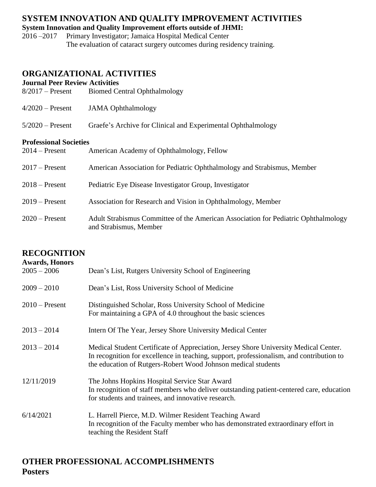# **SYSTEM INNOVATION AND QUALITY IMPROVEMENT ACTIVITIES**

**System Innovation and Quality Improvement efforts outside of JHMI:**

2016 –2017 Primary Investigator; Jamaica Hospital Medical Center The evaluation of cataract surgery outcomes during residency training.

# **ORGANIZATIONAL ACTIVITIES**

**Journal Peer Review Activities**

| $8/2017$ – Present            | <b>Biomed Central Ophthalmology</b>                                                                          |
|-------------------------------|--------------------------------------------------------------------------------------------------------------|
| $4/2020$ – Present            | <b>JAMA</b> Ophthalmology                                                                                    |
| $5/2020$ – Present            | Graefe's Archive for Clinical and Experimental Ophthalmology                                                 |
| <b>Professional Societies</b> |                                                                                                              |
| $2014$ – Present              | American Academy of Ophthalmology, Fellow                                                                    |
| $2017$ – Present              | American Association for Pediatric Ophthalmology and Strabismus, Member                                      |
| $2018 -$ Present              | Pediatric Eye Disease Investigator Group, Investigator                                                       |
| $2019$ – Present              | Association for Research and Vision in Ophthalmology, Member                                                 |
| $2020$ – Present              | Adult Strabismus Committee of the American Association for Pediatric Ophthalmology<br>and Strabismus, Member |

## **RECOGNITION**

| <b>Awards, Honors</b><br>$2005 - 2006$ | Dean's List, Rutgers University School of Engineering                                                                                                                                                                                             |
|----------------------------------------|---------------------------------------------------------------------------------------------------------------------------------------------------------------------------------------------------------------------------------------------------|
| $2009 - 2010$                          | Dean's List, Ross University School of Medicine                                                                                                                                                                                                   |
| $2010$ – Present                       | Distinguished Scholar, Ross University School of Medicine<br>For maintaining a GPA of 4.0 throughout the basic sciences                                                                                                                           |
| $2013 - 2014$                          | Intern Of The Year, Jersey Shore University Medical Center                                                                                                                                                                                        |
| $2013 - 2014$                          | Medical Student Certificate of Appreciation, Jersey Shore University Medical Center.<br>In recognition for excellence in teaching, support, professionalism, and contribution to<br>the education of Rutgers-Robert Wood Johnson medical students |
| 12/11/2019                             | The Johns Hopkins Hospital Service Star Award<br>In recognition of staff members who deliver outstanding patient-centered care, education<br>for students and trainees, and innovative research.                                                  |
| 6/14/2021                              | L. Harrell Pierce, M.D. Wilmer Resident Teaching Award<br>In recognition of the Faculty member who has demonstrated extraordinary effort in<br>teaching the Resident Staff                                                                        |